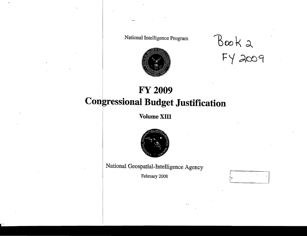National Intelligence Program



 $BooK2$ 

# **FY 2009 Congressional Budget Justification**

Volume XIII



National Geospatial-Intelligence Agency

February 2008

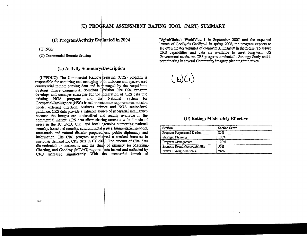# (U) PROGRAM ASSESSMENT RATING **TOOL** (PART) SUMMARY

# (U) Activity Summary/Description

(U/IFOUO) The Commercial Remote ISensing (CRS) program is (U/FOUO) The Commercial Remote Sensing (CRS) program is responsible for acquiring and managing both airborne and space-based  $\binom{\mathbf{b}}{\mathbf{c}}$ commercial remote sensing data and is managed by the Acquisition Systems Office Commercial Solutions Division. The CRS program develops and manages strategies for the integration of CRS data into existing NGA programs and thel National System for Geospatial-Intelligence (NSG) based on customer requirements, mission needs, external direction, business drivers and NGA senior-level guidance. CRS data provide a valuable source of geospatial intelligence because the images are unclassified mid readily available in the commercial market. CRS data allow sharing across a wide domain of (U) Rating: Moderately Effective users in the IC, DoD, Civil and local dgencies supporting national security, homeland security. environmental issues. humanitarian support. man-made and natural disaster preparedhess, public diplomacy and information. The CRS program experienced a marked increase in customer demand for CRS data in FY 2007. The amount of CRS data disseminated to customers, and the share of imagery for Mapping, Charting, and Geodesy (MC&G) requirements tasked and collected by CRS increased significantly. With the successful launch of

(U) Program/Activity Evaluated in 2004 DigitalGlobe's WorldView-1 in September 2007 and the expected <sup>I</sup>launch of GeoEye's GeoEye-l mspring 2008, the program expects to (U) NGP see even greater volumes of commercial imagery in the future. To assure<br>CRS capabilities and data are available to meet long-term US (U) PROGRAM ASSESSMENT RATING TOOL (PART) SUMMARY<br>
Program/Activity Evaluated in 2004<br>
DigitalGlobe's WorldView-1 in September 2007 and the expected<br>
launch of GeoEye's GeoEye-1 in spring 2008, the program expects to<br>
see (U) Commercial Remote Sensing (U) Commercial Remote Sensing Government needs, the CRS program conducted a Strategy Study and is participating in several Community imagery planning initiatives.

| <b>Section</b>                 | <b>Section Score</b> |
|--------------------------------|----------------------|
| Program Purpose and Design     | 80%                  |
| <b>Strategic Planning</b>      | 100%                 |
| Program Management             | 100%                 |
| Program Results/Accountability | 56%                  |
| <b>Overall Weighted Score</b>  | 74%                  |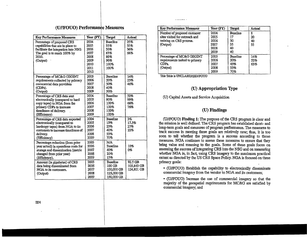# (U//FOUO) Performance Measures

| <b>Key Performance Measures</b>                                                                                                                                       | Year (FY)                                                            | Target                                                              | Actual                              |
|-----------------------------------------------------------------------------------------------------------------------------------------------------------------------|----------------------------------------------------------------------|---------------------------------------------------------------------|-------------------------------------|
| Percentage of proposed CRS<br>capabilities that are in place to<br>facilitate the integration into NSG<br>The goal is to reach 100% by<br>2010.<br>(Output)           | 2004<br>2005<br>2006<br>2007<br>2008<br>2009<br>2010<br>2011<br>2012 | <b>Baseline</b><br>35%<br>50%<br>65%<br>80%<br>90%<br>100%<br>100%  | 25%<br>35%<br>36%<br>66%            |
| Percentage of MC&G GEOINT<br>requirements collected by primary<br>commercial data providers<br>(CDPs).<br>(Output)                                                    | 2005<br>2006<br>2007<br>2008<br>2009                                 | <b>Baseline</b><br>20%<br>30%<br>40%<br>50%                         | 14%<br>23%<br>46%                   |
| Percentage of CRS data sent<br>electronically (compared to hard<br>copy tapes) to NGA from the<br>primary CDPs to increase<br>timeliness of delivery.<br>(Efficiency) | 2004<br>2005<br>2006<br>2007<br>2008<br>2009                         | <b>Baseline</b><br>90%<br>100%<br>100%<br>100%<br>100%              | 50%<br>99%<br>66%<br>76%            |
| Percentage of CRS data exported<br>electronically (compared to<br>hardcopy tapes) from NGA to its<br>customers to increase timeliness of<br>delivery.<br>(Efficiency) | 2004<br>2005<br>2006<br>2007<br>2008<br>2009                         | <b>Baseline</b><br>15%<br>25%<br>40%<br>55%<br>70%                  | 3%<br>17.5%<br>27%<br>22%           |
| Percentage reduction (from prior<br>year actual) in operations costs for<br>storage and dissemination (metric<br>changed from prior year)<br>(Efficiency).            | 2005<br>2006<br>2007<br>2008<br>2009                                 | N/A<br><b>Baseline</b><br>40%<br>20%<br>15%                         | 10%<br>0%                           |
| Amount (in gigabytes) of CRS<br>data being disseminated from<br>NGA to its customers.<br>(Output)                                                                     | 2005<br>2006<br>2007<br>2008<br>2009                                 | <b>Baseline</b><br>100 GB<br>100,000 GB<br>125,000 GB<br>150,000 GB | 92.5 GB<br>105,843 GB<br>124,801 GB |

| <b>Key Performance Measures</b> | Year (FY) | <b>Target</b>   | Actual |
|---------------------------------|-----------|-----------------|--------|
| Number of proposed customer     | 2004      | <b>Baseline</b> | 8      |
| sites visited for outreach and  | 2005      | 17              | 20     |
| training on CRS process.        | 2006      | 30              | 40     |
| (Output)                        | 2007      | 35              | 55     |
|                                 | 2008      | 40              |        |
|                                 | 2009      | 40              |        |
| Percentage of MC&G GEOINT       | 2005      | Baseline        | 14%    |
| requirements tasked to primary  | 2006      | 20%             | 52%    |
| CDP <sub>s</sub>                | 2007      | 45%             | 63%    |
| (Output)                        | 2008      | 55%             |        |
|                                 | 2009      | 70%             |        |

This Table is UNCLASSIFIED//FOUO

and the company

# (U) Appropriation Type

(U) Capital Assets and Service Acquisition

### (U) Findings

(UI/FOUO) Finding 1: The purpose of the CRS program is clear and the mission is well defined. The CRS program has established short- and long-term goals and measures of program performance. The measures to track success in meeting these goals are relatively new; thus, it is too soon to tell whether the program is a success according to those measures. NGA continues to assess these measures to ensure that they bring value and meaning to the goals. Some of these goals focus on assessing the success of integrating CRS into the NSG and on measuring whether NGA is, in fact, using CRS imagery to the maximum practical extent as directed by the US CRS Space Policy. NGA is focused on three 92.5 GB primary goals:

> • (UIFOUO) Establish the capability to electronically disseminate commercial imagery from the vendor to NGA and its customers;

> • (UIIFOUO) Increase the use of commercial imagery so that the majority of the geospatial requirements for MC&G are satisfied by commercial imagery; and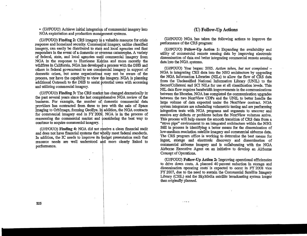• (U//FOUO) Achieve initial integration of commercial imagery into NGA exploitation and production management systems.

 $\overline{\phantom{a}}$ 

(U//FOUO) Finding 2: CRS imagery is a valuable resource for crisis response and homeland security. Commercial imagery, unlike classified imagery, can easily be distributed to state and local agencies and first responders in the event of a domestic or overseas catastrophe. A variety of federal, state, and local agencies used commercial imagery from NGA in the response to Hurricane Kakina and more recently the wildfires in California. NGA has developed a process with the DHS and others in federal government to use commercial imagery in support of domestic crises, but some organizations may not be aware of the process, nor have the capability to view the imagery. NGA is planning additional Outreach to the DHS to assist potential users with accessing and utilizing commercial imagery.

(U/IFOUO) Finding 3: The CRS markdt has changed dramatically in the past several years since the last comprehensive NGA review of the business. For example, the number of domestic commercial data providers has contracted from three to two with the sale of Space Imaging to OrbImage, forming GeoEye. In addition, the NGA contracts for commercial imagery end in FY 2009. NGA is in the process of reassessing the commercial market and considering the best way to continue to acquire commercial imagery.

(U//FOUO) Finding 4: NGA did not receive a clean financial audit and does not have financial systems that wholly meet federal standards. In addition, the IC needs to improve its budget presentation such that resource needs are well understood and more clearly linked to performance.

### (U) Follow-Up Actions

(UIIFOUO) NGA has taken the following actions to improve the performance of the CRS program:

(U/IFOUO) Follow-Up Action 1: Expanding the availability and utility of commercial remote sensing data by improving electronic dissemination of data and better integrating commercial remote sensing data into the NGA systems.

(U/IFOUO) Year began: 2005. *Action taken, but not completed*  NGA is integrating CRS data into the NSG architecture by upgrading the NGA Information Libraries (NILs) to allow the flow of CRS data from the Unclassified National Information Library (UNIL) to the Secret/Collateral and SCI NILs for use at all classification levels. This NIL data flow requires bandwidth improvements in the communications between the libraries. NGA has completed the communication upgrades between the two NextView CDPs and the UNIL to better handle the large volume of data expected under the NextView contract. NGA system integrators are scheduling volumetric testing and are performing integration tests with NGA programs and segments to uncover and resolve any defects or problems before the NextView volumes arrive. This process will help ensure the smooth transition of CRS data from a "stove pipe" environment to an integrated architecture within the NSG. Still in process is identifying a better means for the dissemination of low-medium resolution satellite imagery and commercial airborne data. The CRS program office is working to determine the best means for ingest, storage and electronic discovery and dissemination of commercial airborne imagery and is collaborating with the NGA Airborne Executive Agent on an initiative to develop an Airborne Concept of Operations.

(U//FOUO) Follow-Up Action 2: Improving operational efficiencies to drive down costs. A planned 40 percent reduction in storage and dissemination operating costs' is expected to occur in FY 2008 vice FY 2007. due to the need to sustain the Commercial Satellite Imagery Library (CSIL) and the SkyMedia satellite broadcasting system longer than originally planned.

 $\sim$   $\sim$   $\sim$   $\sim$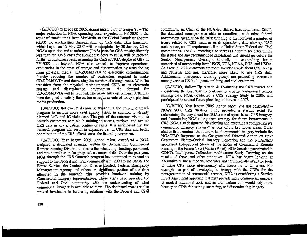(U//FOUO) Year began: 2005. Action taken, but not completed - The major reduction in NGA operating costs expected in FY 2008 is the result of transitioning from SkyMedia to the Global Broadcast System (GBS) for unclassified dissemination of CRS data. This transition, which began on 15 May 2007 will be completed by 30 January 2008. NGA's operation and sustainment  $(O&S)$  costs for GBS are significantly less than the O&S costs for SkyMedia; costs to NGA will be reduced further as customers begin assuming the  $Q&S$  of NGA-deployed GBS in FY 2009 and beyond. NGA also expects to improve operational efficiencies in the areas of storage and dissemination by transitioning from physical media (CD-ROM/DVD) to electronic dissemination, thereby reducing the number of contractors required to make CD-ROMIDVDs and decreasing the number of storage racks. With the transition from the physical media-oriented CSIL to an electronic<br>storage and dissemination environment, the demand for storage and dissemination CD-ROM/DVDs will be reduced. The future fully operational UNIL has been designed to satisfy the customer requirements of today's physical media production.

*(UIIFOUO)* Follow-Up Action 3: Expanding the current outreach program to include more civil agency visits, in addition to already planned DoD and IC visitations. The goat of the outreach visits is to provide customers with skills training tol access, retrieve, and exploit CRS data in any situation., routine or crisis. It is anticipated that the outreach program will result in expanded use of CRS data and better coordination of the CRS efforts across the federal government.

*(U//FOUO)* Year began: 2005. *Action taken, completed* - NGA assigned a dedicated manager within the Acquisition Commercial Remote Sensing Division to ensure the scheduling, funding, personnel, and site coordination for proposed customer visits. Over the past year, NGA through the CRS Outreach program has continued to expand its support to the Federal and Civil community with visits to the USGS, the Forest Service, the Centers for Disease Control, Federal Emergency Management Agency and others. A sighificant portion of the time allocated in the outreach trips provides hands-on training by Commercial Imagery representatives. These visits have provided the Federal and Civil community with the understanding of what commercial imagery is available to them. The dedicated manager also proved invaluable in furthering relations with the Federal and Civil community. As Chair of the NGA-Ied Shared Execution Team (SET), the dedicated manager was able to coordinate with other federal government agencies on the SET, bringing to the forefront a number of issues related to CRS, such as crisis operations, data sharing, NSG architecture, and IT requirements for the United States Federal and Civil communities. The SET meeting also serves as a forum for determining the issues and any recommended resolutions that should go before the Senior Management Oversight Council, an overarching forum comprised of membership from USGS, NGA, NOAA, DHS, and USDA. As a result, NGA customers are more knowledgeable about CRS access and retrieval and are, therefore, more likely to use CRS data. Additionally, interagency working groups are promoting awareness among various US intelligence, military, and civil customers.

*(UIIFOUO)* Follow-Up Action 4: Evaluating the CRS market and considering the best way to continue to acquire commercial remote sensing data. NGA conducted a CRS Strategy Study in 2006, and participated in several future planning initiatives in 2007.

*(U/IFOUO)* Year began: 2006. *Action taken, but not completed*  NGA's 2006 CRS Strategy Study provided a starting point for determining the way ahead for NGA's use of space-based CRS imagery, and formulating NGA's long term strategy for future investments in CRS. NGA also designated "developing and executing a comprehensive commercial imagery strategy" as one of its key focus areas. Other studies that examined the future role of commercial imagery include the NGAINRO Response to the Congressional Directed Action on Next Generation Electro-Optical Imagery Collection and the NGAINRO sponsored Independent Study of the Roles of Commercial Remote Sensing in the Future NSG (Marino Panel). NGA has also participated in ODNI's Intelligence Collection Architecture Study. Drawing on the results of these and other initiatives, NGA has begun looking at alternative business models, processes and commercially available tools to make CRS more user-friendly and accessible to all users. For example, as part of developing a strategy with the CDPs for the next-generation of commercial sensors, NGA is considering a Service Level Agreement approach that may provide more commercial imagery at modest additional cost, and an architecture that would rely more heavily on CDPs for storing, accessing, and disseminating imagery.

326